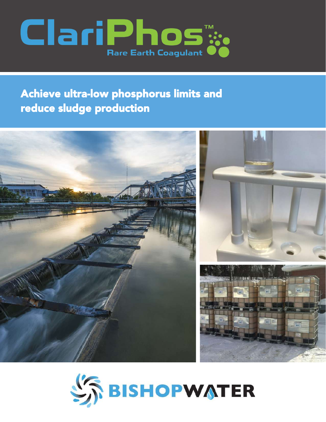

# Achieve ultra-low phosphorus limits and reduce sludge production



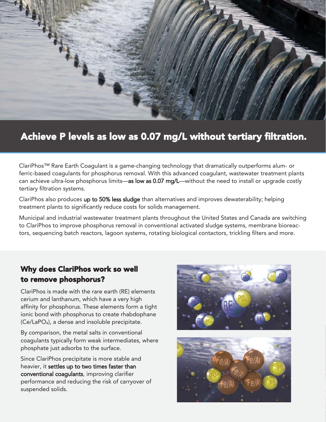

## Achieve P levels as low as 0.07 mg/L without tertiary filtration.

ClariPhos™ Rare Earth Coagulant is a game-changing technology that dramatically outperforms alum- or ferric-based coagulants for phosphorus removal. With this advanced coagulant, wastewater treatment plants can achieve ultra-low phosphorus limits—as low as 0.07 mg/L—without the need to install or upgrade costly tertiary filtration systems.

ClariPhos also produces up to 50% less sludge than alternatives and improves dewaterability; helping treatment plants to significantly reduce costs for solids management.

Municipal and industrial wastewater treatment plants throughout the United States and Canada are switching to ClariPhos to improve phosphorus removal in conventional activated sludge systems, membrane bioreactors, sequencing batch reactors, lagoon systems, rotating biological contactors, trickling filters and more.

### Why does ClariPhos work so well to remove phosphorus?

ClariPhos is made with the rare earth (RE) elements cerium and lanthanum, which have a very high affinity for phosphorus. These elements form a tight ionic bond with phosphorus to create rhabdophane (Ce/LaPO4), a dense and insoluble precipitate.

By comparison, the metal salts in conventional coagulants typically form weak intermediates, where phosphate just adsorbs to the surface.

Since ClariPhos precipitate is more stable and heavier, it settles up to two times faster than conventional coagulants, improving clarifier performance and reducing the risk of carryover of suspended solids.



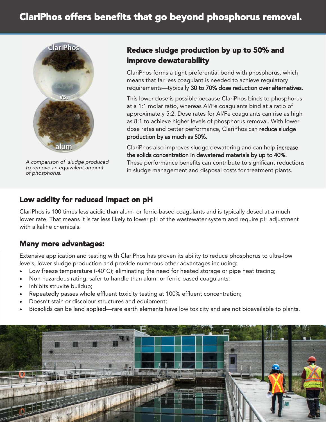

*A comparison of sludge produced to remove an equivalent amount of phosphorus.* 

### Reduce sludge production by up to 50% and improve dewaterability

ClariPhos forms a tight preferential bond with phosphorus, which means that far less coagulant is needed to achieve regulatory requirements—typically 30 to 70% dose reduction over alternatives.

This lower dose is possible because ClariPhos binds to phosphorus at a 1:1 molar ratio, whereas Al/Fe coagulants bind at a ratio of approximately 5:2. Dose rates for Al/Fe coagulants can rise as high as 8:1 to achieve higher levels of phosphorus removal. With lower dose rates and better performance, ClariPhos can reduce sludge production by as much as 50%.

ClariPhos also improves sludge dewatering and can help increase the solids concentration in dewatered materials by up to 40%. These performance benefits can contribute to significant reductions in sludge management and disposal costs for treatment plants.

#### Low acidity for reduced impact on pH

ClariPhos is 100 times less acidic than alum- or ferric-based coagulants and is typically dosed at a much lower rate. That means it is far less likely to lower pH of the wastewater system and require pH adjustment with alkaline chemicals.

#### Many more advantages:

Extensive application and testing with ClariPhos has proven its ability to reduce phosphorus to ultra-low levels, lower sludge production and provide numerous other advantages including:

- Low freeze temperature (-40 $^{\circ}$ C); eliminating the need for heated storage or pipe heat tracing;
- Non-hazardous rating; safer to handle than alum- or ferric-based coagulants;
- Inhibits struvite buildup;
- Repeatedly passes whole effluent toxicity testing at 100% effluent concentration;
- Doesn't stain or discolour structures and equipment;
- Biosolids can be land applied—rare earth elements have low toxicity and are not bioavailable to plants.